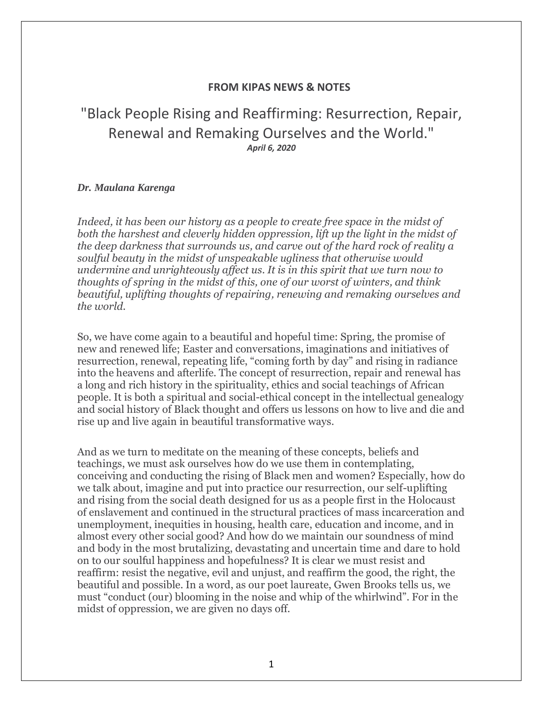## **FROM KIPAS NEWS & NOTES**

## "Black People Rising and Reaffirming: Resurrection, Repair, Renewal and Remaking Ourselves and the World." *April 6, 2020*

## *Dr. Maulana Karenga*

*Indeed, it has been our history as a people to create free space in the midst of both the harshest and cleverly hidden oppression, lift up the light in the midst of the deep darkness that surrounds us, and carve out of the hard rock of reality a soulful beauty in the midst of unspeakable ugliness that otherwise would undermine and unrighteously affect us. It is in this spirit that we turn now to thoughts of spring in the midst of this, one of our worst of winters, and think beautiful, uplifting thoughts of repairing, renewing and remaking ourselves and the world.*

So, we have come again to a beautiful and hopeful time: Spring, the promise of new and renewed life; Easter and conversations, imaginations and initiatives of resurrection, renewal, repeating life, "coming forth by day" and rising in radiance into the heavens and afterlife. The concept of resurrection, repair and renewal has a long and rich history in the spirituality, ethics and social teachings of African people. It is both a spiritual and social-ethical concept in the intellectual genealogy and social history of Black thought and offers us lessons on how to live and die and rise up and live again in beautiful transformative ways.

And as we turn to meditate on the meaning of these concepts, beliefs and teachings, we must ask ourselves how do we use them in contemplating, conceiving and conducting the rising of Black men and women? Especially, how do we talk about, imagine and put into practice our resurrection, our self-uplifting and rising from the social death designed for us as a people first in the Holocaust of enslavement and continued in the structural practices of mass incarceration and unemployment, inequities in housing, health care, education and income, and in almost every other social good? And how do we maintain our soundness of mind and body in the most brutalizing, devastating and uncertain time and dare to hold on to our soulful happiness and hopefulness? It is clear we must resist and reaffirm: resist the negative, evil and unjust, and reaffirm the good, the right, the beautiful and possible. In a word, as our poet laureate, Gwen Brooks tells us, we must "conduct (our) blooming in the noise and whip of the whirlwind". For in the midst of oppression, we are given no days off.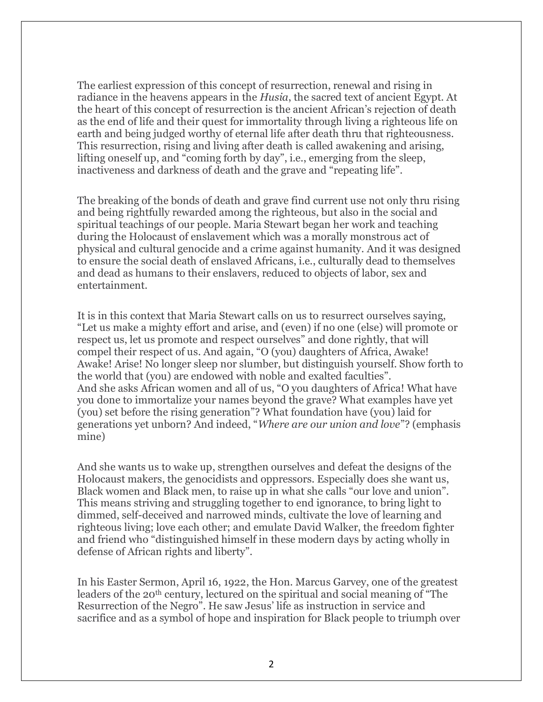The earliest expression of this concept of resurrection, renewal and rising in radiance in the heavens appears in the *Husia*, the sacred text of ancient Egypt. At the heart of this concept of resurrection is the ancient African's rejection of death as the end of life and their quest for immortality through living a righteous life on earth and being judged worthy of eternal life after death thru that righteousness. This resurrection, rising and living after death is called awakening and arising, lifting oneself up, and "coming forth by day", i.e., emerging from the sleep, inactiveness and darkness of death and the grave and "repeating life".

The breaking of the bonds of death and grave find current use not only thru rising and being rightfully rewarded among the righteous, but also in the social and spiritual teachings of our people. Maria Stewart began her work and teaching during the Holocaust of enslavement which was a morally monstrous act of physical and cultural genocide and a crime against humanity. And it was designed to ensure the social death of enslaved Africans, i.e., culturally dead to themselves and dead as humans to their enslavers, reduced to objects of labor, sex and entertainment.

It is in this context that Maria Stewart calls on us to resurrect ourselves saying, "Let us make a mighty effort and arise, and (even) if no one (else) will promote or respect us, let us promote and respect ourselves" and done rightly, that will compel their respect of us. And again, "O (you) daughters of Africa, Awake! Awake! Arise! No longer sleep nor slumber, but distinguish yourself. Show forth to the world that (you) are endowed with noble and exalted faculties". And she asks African women and all of us, "O you daughters of Africa! What have you done to immortalize your names beyond the grave? What examples have yet (you) set before the rising generation"? What foundation have (you) laid for generations yet unborn? And indeed, "*Where are our union and love*"? (emphasis mine)

And she wants us to wake up, strengthen ourselves and defeat the designs of the Holocaust makers, the genocidists and oppressors. Especially does she want us, Black women and Black men, to raise up in what she calls "our love and union". This means striving and struggling together to end ignorance, to bring light to dimmed, self-deceived and narrowed minds, cultivate the love of learning and righteous living; love each other; and emulate David Walker, the freedom fighter and friend who "distinguished himself in these modern days by acting wholly in defense of African rights and liberty".

In his Easter Sermon, April 16, 1922, the Hon. Marcus Garvey, one of the greatest leaders of the 20<sup>th</sup> century, lectured on the spiritual and social meaning of "The Resurrection of the Negro". He saw Jesus' life as instruction in service and sacrifice and as a symbol of hope and inspiration for Black people to triumph over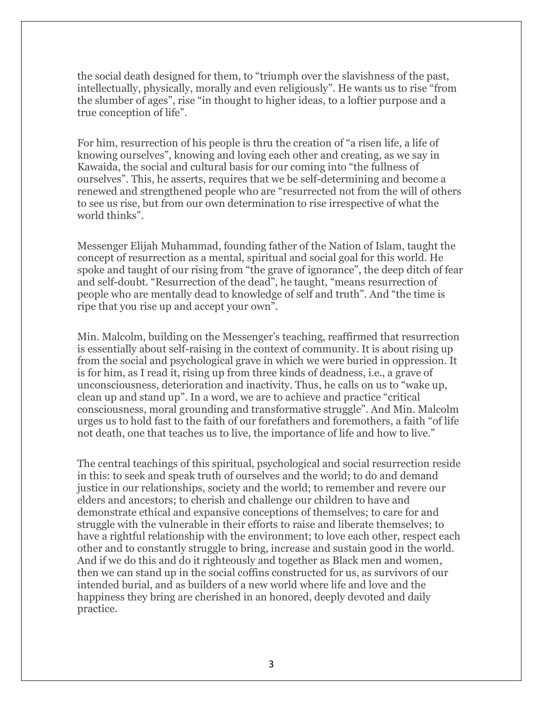the social death designed for them, to "triumph over the slavishness of the past, intellectually, physically, morally and even religiously". He wants us to rise "from the slumber of ages", rise "in thought to higher ideas, to a loftier purpose and a true conception of life".

For him, resurrection of his people is thru the creation of "a risen life, a life of knowing ourselves", knowing and loving each other and creating, as we say in Kawaida, the social and cultural basis for our coming into "the fullness of ourselves". This, he asserts, requires that we be self-determining and become a renewed and strengthened people who are "resurrected not from the will of others to see us rise, but from our own determination to rise irrespective of what the world thinks".

Messenger Elijah Muhammad, founding father of the Nation of Islam, taught the concept of resurrection as a mental, spiritual and social goal for this world. He spoke and taught of our rising from "the grave of ignorance", the deep ditch of fear and self-doubt. "Resurrection of the dead", he taught, "means resurrection of people who are mentally dead to knowledge of self and truth". And "the time is ripe that you rise up and accept your own".

Min. Malcolm, building on the Messenger's teaching, reaffirmed that resurrection is essentially about self-raising in the context of community. It is about rising up from the social and psychological grave in which we were buried in oppression. It is for him, as I read it, rising up from three kinds of deadness, i.e., a grave of unconsciousness, deterioration and inactivity. Thus, he calls on us to "wake up, clean up and stand up". In a word, we are to achieve and practice "critical consciousness, moral grounding and transformative struggle". And Min. Malcolm urges us to hold fast to the faith of our forefathers and foremothers, a faith "of life not death, one that teaches us to live, the importance of life and how to live."

The central teachings of this spiritual, psychological and social resurrection reside in this: to seek and speak truth of ourselves and the world; to do and demand justice in our relationships, society and the world; to remember and revere our elders and ancestors; to cherish and challenge our children to have and demonstrate ethical and expansive conceptions of themselves; to care for and struggle with the vulnerable in their efforts to raise and liberate themselves; to have a rightful relationship with the environment; to love each other, respect each other and to constantly struggle to bring, increase and sustain good in the world. And if we do this and do it righteously and together as Black men and women, then we can stand up in the social coffins constructed for us, as survivors of our intended burial, and as builders of a new world where life and love and the happiness they bring are cherished in an honored, deeply devoted and daily practice.